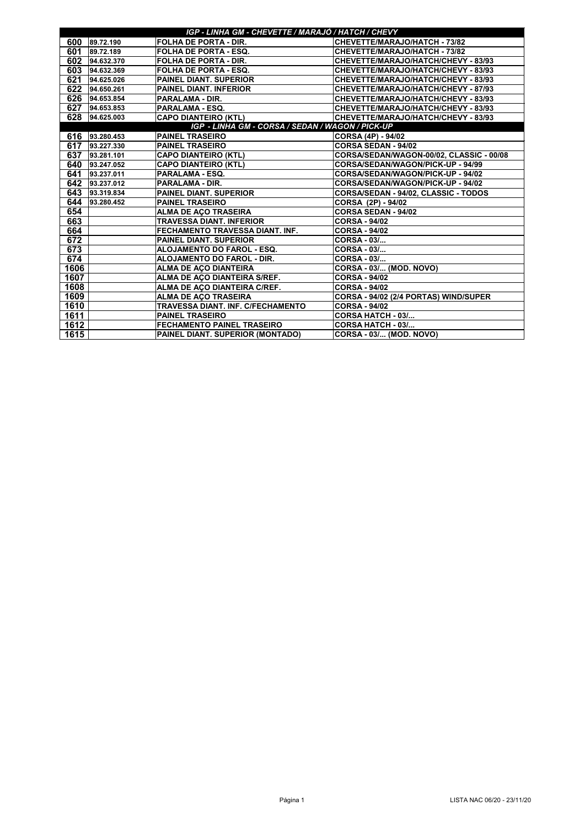| IGP - LINHA GM - CHEVETTE / MARAJÓ / HATCH / CHEVY |                |                                   |                                          |  |
|----------------------------------------------------|----------------|-----------------------------------|------------------------------------------|--|
| 600                                                | 89.72.190      | <b>FOLHA DE PORTA - DIR.</b>      | CHEVETTE/MARAJO/HATCH - 73/82            |  |
| 601                                                | 89.72.189      | <b>FOLHA DE PORTA - ESQ.</b>      | CHEVETTE/MARAJO/HATCH - 73/82            |  |
| 602                                                | 94.632.370     | <b>FOLHA DE PORTA - DIR.</b>      | CHEVETTE/MARAJO/HATCH/CHEVY - 83/93      |  |
| 603                                                | 94.632.369     | <b>FOLHA DE PORTA - ESQ.</b>      | CHEVETTE/MARAJO/HATCH/CHEVY - 83/93      |  |
| 621                                                | 94.625.026     | <b>PAINEL DIANT. SUPERIOR</b>     | CHEVETTE/MARAJO/HATCH/CHEVY - 83/93      |  |
| 622                                                | 94.650.261     | <b>PAINEL DIANT. INFERIOR</b>     | CHEVETTE/MARAJO/HATCH/CHEVY - 87/93      |  |
|                                                    | 626 94.653.854 | <b>PARALAMA - DIR.</b>            | CHEVETTE/MARAJO/HATCH/CHEVY - 83/93      |  |
|                                                    | 627 94.653.853 | <b>PARALAMA - ESQ.</b>            | CHEVETTE/MARAJO/HATCH/CHEVY - 83/93      |  |
|                                                    | 628 94.625.003 | <b>CAPO DIANTEIRO (KTL)</b>       | CHEVETTE/MARAJO/HATCH/CHEVY - 83/93      |  |
| IGP - LINHA GM - CORSA / SEDAN / WAGON / PICK-UP   |                |                                   |                                          |  |
| 616                                                | 93.280.453     | <b>PAINEL TRASEIRO</b>            | CORSA (4P) - 94/02                       |  |
| 617                                                | 93.227.330     | <b>PAINEL TRASEIRO</b>            | <b>CORSA SEDAN - 94/02</b>               |  |
| 637                                                | 93.281.101     | <b>CAPO DIANTEIRO (KTL)</b>       | CORSA/SEDAN/WAGON-00/02, CLASSIC - 00/08 |  |
| 640                                                | 93.247.052     | <b>CAPO DIANTEIRO (KTL)</b>       | <b>CORSA/SEDAN/WAGON/PICK-UP - 94/99</b> |  |
| 641                                                | 93.237.011     | <b>PARALAMA - ESQ.</b>            | CORSA/SEDAN/WAGON/PICK-UP - 94/02        |  |
| 642                                                | 93.237.012     | <b>PARALAMA - DIR.</b>            | CORSA/SEDAN/WAGON/PICK-UP - 94/02        |  |
| 643                                                | 93.319.834     | <b>PAINEL DIANT. SUPERIOR</b>     | CORSA/SEDAN - 94/02, CLASSIC - TODOS     |  |
| 644                                                | 93.280.452     | <b>PAINEL TRASEIRO</b>            | CORSA (2P) - 94/02                       |  |
| 654                                                |                | <b>ALMA DE AÇO TRASEIRA</b>       | <b>CORSA SEDAN - 94/02</b>               |  |
| 663                                                |                | <b>TRAVESSA DIANT. INFERIOR</b>   | <b>CORSA - 94/02</b>                     |  |
| 664                                                |                | FECHAMENTO TRAVESSA DIANT. INF.   | <b>CORSA - 94/02</b>                     |  |
| 672                                                |                | <b>PAINEL DIANT. SUPERIOR</b>     | <b>CORSA - 03/</b>                       |  |
| 673                                                |                | ALOJAMENTO DO FAROL - ESQ.        | <b>CORSA - 03/</b>                       |  |
| 674                                                |                | <b>ALOJAMENTO DO FAROL - DIR.</b> | <b>CORSA - 03/</b>                       |  |
| 1606                                               |                | <b>ALMA DE AÇO DIANTEIRA</b>      | <b>CORSA - 03/ (MOD. NOVO)</b>           |  |
| 1607                                               |                | ALMA DE AÇO DIANTEIRA S/REF.      | <b>CORSA - 94/02</b>                     |  |
| 1608                                               |                | ALMA DE AÇO DIANTEIRA C/REF.      | <b>CORSA - 94/02</b>                     |  |
| 1609                                               |                | <b>ALMA DE AÇO TRASEIRA</b>       | CORSA - 94/02 (2/4 PORTAS) WIND/SUPER    |  |
| 1610                                               |                | TRAVESSA DIANT. INF. C/FECHAMENTO | <b>CORSA - 94/02</b>                     |  |
| 1611                                               |                | <b>PAINEL TRASEIRO</b>            | CORSA HATCH - 03/                        |  |
| 1612                                               |                | FECHAMENTO PAINEL TRASEIRO        | <b>CORSA HATCH - 03/</b>                 |  |
| 1615                                               |                | PAINEL DIANT. SUPERIOR (MONTADO)  | CORSA - 03/ (MOD. NOVO)                  |  |